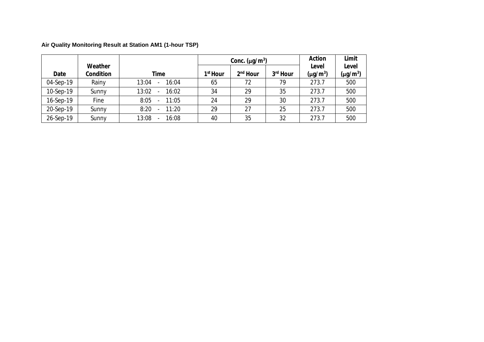|           |                      |                |                      | Conc. $(\mu g/m^3)$  | Action               | Limit                  |               |
|-----------|----------------------|----------------|----------------------|----------------------|----------------------|------------------------|---------------|
| Date      | Weather<br>Condition | Time           | 1 <sup>st</sup> Hour | 2 <sup>nd</sup> Hour | 3 <sup>rd</sup> Hour | Level<br>$(\mu g/m^3)$ | Level         |
|           |                      |                |                      |                      |                      |                        | $(\mu g/m^3)$ |
| 04-Sep-19 | Rainy                | 13:04<br>16:04 | 65                   | 72                   | 79                   | 273.7                  | 500           |
| 10-Sep-19 | Sunny                | 13:02<br>16:02 | 34                   | 29                   | 35                   | 273.7                  | 500           |
| 16-Sep-19 | Fine                 | 8:05<br>11:05  | 24                   | 29                   | 30                   | 273.7                  | 500           |
| 20-Sep-19 | Sunny                | 8:20<br>11:20  | 29                   | 27                   | 25                   | 273.7                  | 500           |
| 26-Sep-19 | Sunny                | 13:08<br>16:08 | 40                   | 35                   | 32                   | 273.7                  | 500           |

## **Air Quality Monitoring Result at Station AM1 (1-hour TSP)**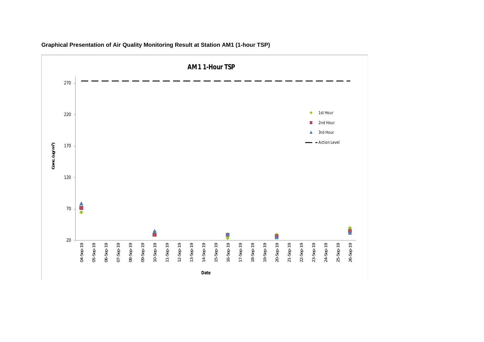

**Graphical Presentation of Air Quality Monitoring Result at Station AM1 (1-hour TSP)**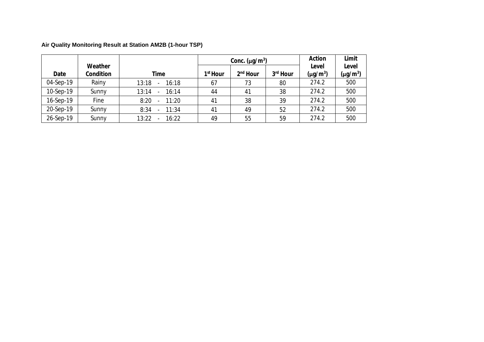|           |                      |                                            |                      | Conc. $(\mu q/m^3)$ | Action   | Limit                  |                        |
|-----------|----------------------|--------------------------------------------|----------------------|---------------------|----------|------------------------|------------------------|
| Date      | Weather<br>Condition | Time                                       | 1 <sup>st</sup> Hour | $2nd$ Hour          | 3rd Hour | Level<br>$(\mu g/m^3)$ | Level<br>$(\mu g/m^3)$ |
|           |                      |                                            |                      |                     |          |                        |                        |
| 04-Sep-19 | Rainy                | 13:18<br>16:18<br>$\overline{\phantom{0}}$ | 67                   | 73                  | 80       | 274.2                  | 500                    |
| 10-Sep-19 | Sunny                | 13:14<br>16:14                             | 44                   | 41                  | 38       | 274.2                  | 500                    |
| 16-Sep-19 | Fine                 | 8:20<br>11:20                              | 41                   | 38                  | 39       | 274.2                  | 500                    |
| 20-Sep-19 | Sunny                | 8:34<br>11:34                              | 41                   | 49                  | 52       | 274.2                  | 500                    |
| 26-Sep-19 | Sunny                | 13:22<br>16:22                             | 49                   | 55                  | 59       | 274.2                  | 500                    |

**Air Quality Monitoring Result at Station AM2B (1-hour TSP)**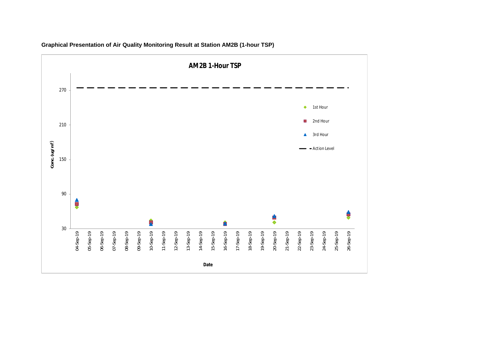

**Graphical Presentation of Air Quality Monitoring Result at Station AM2B (1-hour TSP)**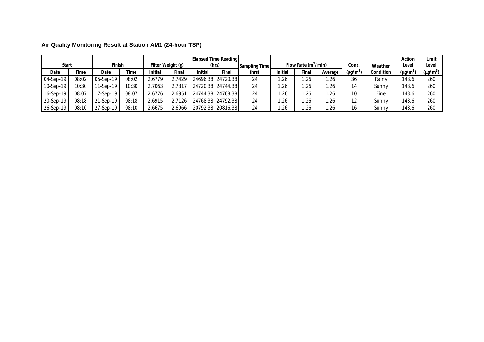| Air Quality Monitoring Result at Station AM1 (24-hour TSP) |  |
|------------------------------------------------------------|--|
|                                                            |  |

| <b>Start</b> |       | Finish    |       |        | Filter Weight (g) | <b>Elapsed Time Reading</b> | (hrs)             | Sampling Time |         | Flow Rate $(m^3/min)$ |         | Conc.         | Weather   | Action<br>Level      | Limit<br>Level |
|--------------|-------|-----------|-------|--------|-------------------|-----------------------------|-------------------|---------------|---------|-----------------------|---------|---------------|-----------|----------------------|----------------|
| Date         | Time  | Date      | Time  | nitial | Final             | Initial                     | Final             | (hrs)         | Initial | Final                 | Average | $(\mu g/m^3)$ | Condition | (μg/m <sup>3</sup> ` | $(\mu g/m^3)$  |
| 04-Sep-19    | 08:02 | 05-Sep-19 | 08:02 | 2.6779 | 2.7429            |                             | 24696.38 24720.38 | 24            | . 26    | .26                   | .26     | 36            | Rainv     | 143.6                | 260            |
| 10-Sep-19    | 10:30 | 11-Sep-19 | 10:30 | 2.7063 | 2.7317            | 24720.38   24744.38         |                   | 24            | .26     | .26                   | .26     | 14            | Sunny     | 143.6                | 260            |
| 16-Sep-19    | 08:07 | 17-Sep-19 | 08:07 | 2.6776 | 2.6951            |                             | 24744.38 24768.38 | 24            | . 26    | l.26                  | .26     | 10            | Fine      | 143.6                | 260            |
| 20-Sep-19    | 08:18 | 21-Sep-19 | 08:18 | 2.6915 | 2.7126            |                             | 24768.38 24792.38 | 24            | . 26    | l.26                  | .26     | 12            | Sunny     | 143.6                | 260            |
| 26-Sep-19    | 08:10 | 27-Sep-19 | 08:10 | 2.6675 | 2.6966            | 20792.38   20816.38         |                   | 24            | .26     | .26                   | .26     | 16            | Sunny     | 143.6                | 260            |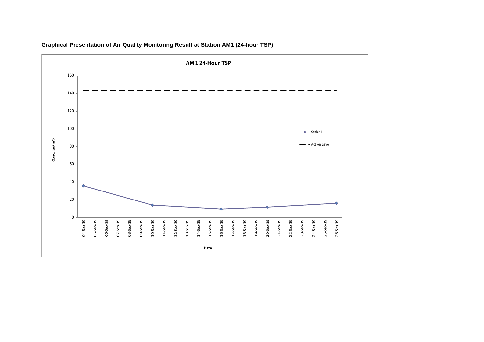

**Graphical Presentation of Air Quality Monitoring Result at Station AM1 (24-hour TSP)**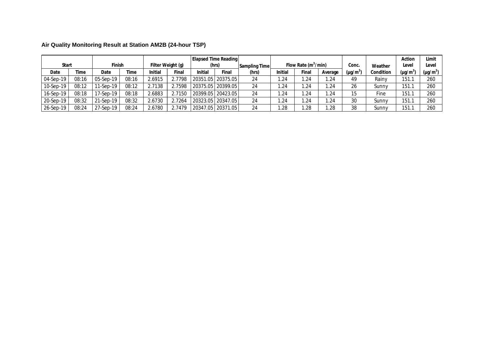| Air Quality Monitoring Result at Station AM2B (24-hour TSP) |  |
|-------------------------------------------------------------|--|
|                                                             |  |

| Start     |       | Finish    |       |        | Filter Weight (g) | Elapsed Time Reading | (hrs)               | Sampling Time |         | Flow Rate $(m^3/min)$ |         | Conc.         | Weather   | Action<br>Level      | Limit<br>Level       |
|-----------|-------|-----------|-------|--------|-------------------|----------------------|---------------------|---------------|---------|-----------------------|---------|---------------|-----------|----------------------|----------------------|
| Date      | Time  | Date      | Time  | nitial | Final             | Initial              | Final               | (hrs)         | Initial | Final                 | Average | $(\mu g/m^3)$ | Condition | (μg/m <sup>3</sup> ' | (µg/m <sup>3</sup> ) |
| 04-Sep-19 | 08:16 | 05-Sep-19 | 08:16 | 2.6915 | 2.7798            |                      | 20351.05   20375.05 | 24            | .24     | 1.24                  | .24     | 49            | Rainv     | 151.1                | 260                  |
| 10-Sep-19 | 08:12 | 11-Sep-19 | 08:12 | 2.7138 | 2.7598            | 20375.05   20399.05  |                     | 24            | .24     | 1.24                  | .24     | 26            | Sunny     | 151.1                | 260                  |
| 16-Sep-19 | 08:18 | 17-Sep-19 | 08:18 | 2.6883 | 2.7150            |                      | 20399.05   20423.05 | 24            | . 24    | 1.24                  | .24     | 15            | Fine      | 151.1                | 260                  |
| 20-Sep-19 | 08:32 | 21-Sep-19 | 08:32 | 2.6730 | 2.7264            |                      | 20323.05   20347.05 | 24            | . 24    | 1.24                  | .24     | 30            | Sunny     | 151.1                | 260                  |
| 26-Sep-19 | 08:24 | 27-Sep-19 | 08:24 | 2.6780 | 2.7479            |                      | 20347.05   20371.05 | 24            | .28     | .28                   | .28     | 38            | Sunny     | 151.1                | 260                  |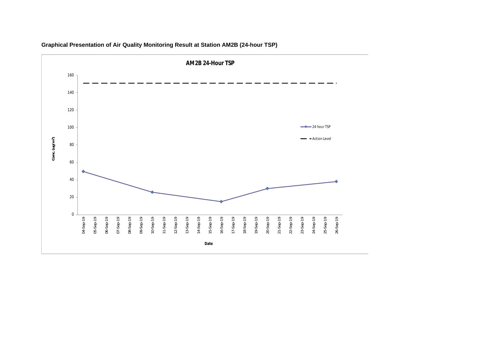

**Graphical Presentation of Air Quality Monitoring Result at Station AM2B (24-hour TSP)**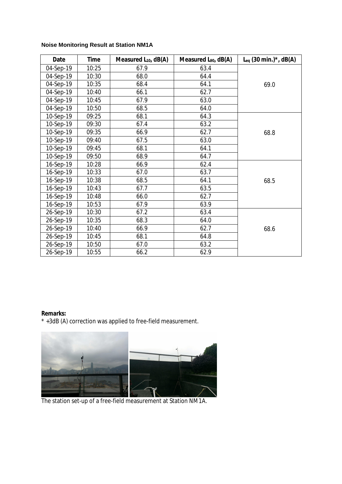## **Noise Monitoring Result at Station NM1A**

| Date      | Time  | Measured $L_{10}$ , dB(A) | Measured $L_{90}$ , dB(A) | $L_{eq}$ (30 min.)*, dB(A) |
|-----------|-------|---------------------------|---------------------------|----------------------------|
| 04-Sep-19 | 10:25 | 67.9                      | 63.4                      |                            |
| 04-Sep-19 | 10:30 | 68.0                      | 64.4                      |                            |
| 04-Sep-19 | 10:35 | 68.4                      | 64.1                      | 69.0                       |
| 04-Sep-19 | 10:40 | 66.1                      | 62.7                      |                            |
| 04-Sep-19 | 10:45 | 67.9                      | 63.0                      |                            |
| 04-Sep-19 | 10:50 | 68.5                      | 64.0                      |                            |
| 10-Sep-19 | 09:25 | 68.1                      | 64.3                      |                            |
| 10-Sep-19 | 09:30 | 67.4                      | 63.2                      |                            |
| 10-Sep-19 | 09:35 | 66.9                      | 62.7                      | 68.8                       |
| 10-Sep-19 | 09:40 | 67.5                      | 63.0                      |                            |
| 10-Sep-19 | 09:45 | 68.1                      | 64.1                      |                            |
| 10-Sep-19 | 09:50 | 68.9                      | 64.7                      |                            |
| 16-Sep-19 | 10:28 | 66.9                      | 62.4                      |                            |
| 16-Sep-19 | 10:33 | 67.0                      | 63.7                      |                            |
| 16-Sep-19 | 10:38 | 68.5                      | 64.1                      | 68.5                       |
| 16-Sep-19 | 10:43 | 67.7                      | 63.5                      |                            |
| 16-Sep-19 | 10:48 | 66.0                      | 62.7                      |                            |
| 16-Sep-19 | 10:53 | 67.9                      | 63.9                      |                            |
| 26-Sep-19 | 10:30 | 67.2                      | 63.4                      |                            |
| 26-Sep-19 | 10:35 | 68.3                      | 64.0                      |                            |
| 26-Sep-19 | 10:40 | 66.9                      | 62.7                      | 68.6                       |
| 26-Sep-19 | 10:45 | 68.1                      | 64.8                      |                            |
| 26-Sep-19 | 10:50 | 67.0                      | 63.2                      |                            |
| 26-Sep-19 | 10:55 | 66.2                      | 62.9                      |                            |

**Remarks:**

\* +3dB (A) correction was applied to free-field measurement.



The station set-up of a free-field measurement at Station NM1A.